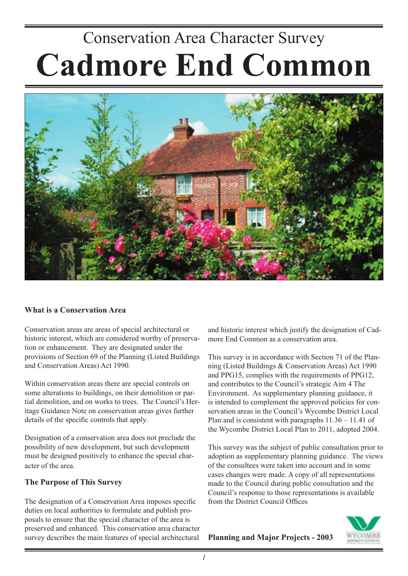# Conservation Area Character Survey **Cadmore End Common**



## **What is a Conservation Area**

Conservation areas are areas of special architectural or historic interest, which are considered worthy of preservation or enhancement. They are designated under the provisions of Section 69 of the Planning (Listed Buildings and Conservation Areas) Act 1990.

Within conservation areas there are special controls on some alterations to buildings, on their demolition or partial demolition, and on works to trees. The Council's Heritage Guidance Note on conservation areas gives further details of the specific controls that apply.

Designation of a conservation area does not preclude the possibility of new development, but such development must be designed positively to enhance the special character of the area.

## **The Purpose of This Survey**

The designation of a Conservation Area imposes specific duties on local authorities to formulate and publish proposals to ensure that the special character of the area is preserved and enhanced. This conservation area character survey describes the main features of special architectural and historic interest which justify the designation of Cadmore End Common as a conservation area.

This survey is in accordance with Section 71 of the Planning (Listed Buildings & Conservation Areas) Act 1990 and PPG15, complies with the requirements of PPG12, and contributes to the Council's strategic Aim 4 The Environment. As supplementary planning guidance, it is intended to complement the approved policies for conservation areas in the Council's Wycombe District Local Plan and is consistent with paragraphs 11.36 – 11.41 of the Wycombe District Local Plan to 2011, adopted 2004.

This survey was the subject of public consultation prior to adoption as supplementary planning guidance. The views of the consultees were taken into account and in some cases changes were made. A copy of all representations made to the Council during public consultation and the Council's response to those representations is available from the District Council Offices



**Planning and Major Projects - 2003**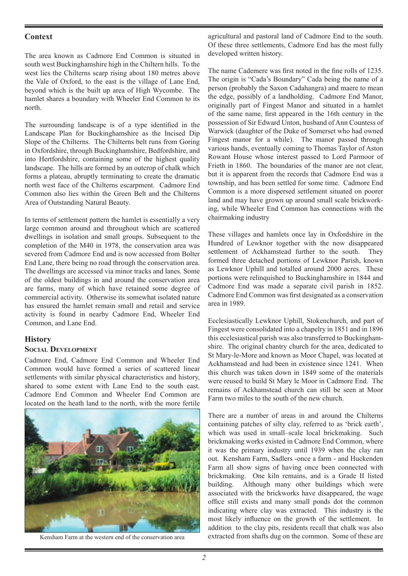## **Context**

The area known as Cadmore End Common is situated in south west Buckinghamshire high in the Chiltern hills. To the west lies the Chilterns scarp rising about 180 metres above the Vale of Oxford, to the east is the village of Lane End, beyond which is the built up area of High Wycombe. The hamlet shares a boundary with Wheeler End Common to its north.

The surrounding landscape is of a type identified in the Landscape Plan for Buckinghamshire as the Incised Dip Slope of the Chilterns. The Chilterns belt runs from Goring in Oxfordshire, through Buckinghamshire, Bedfordshire, and into Hertfordshire, containing some of the highest quality landscape. The hills are formed by an outcrop of chalk which forms a plateau, abruptly terminating to create the dramatic north west face of the Chilterns escarpment. Cadmore End Common also lies within the Green Belt and the Chilterns Area of Outstanding Natural Beauty.

In terms of settlement pattern the hamlet is essentially a very large common around and throughout which are scattered dwellings in isolation and small groups. Subsequent to the completion of the M40 in 1978, the conservation area was severed from Cadmore End and is now accessed from Bolter End Lane, there being no road through the conservation area. The dwellings are accessed via minor tracks and lanes. Some of the oldest buildings in and around the conservation area are farms, many of which have retained some degree of commercial activity. Otherwise its somewhat isolated nature has ensured the hamlet remain small and retail and service activity is found in nearby Cadmore End, Wheeler End Common, and Lane End.

#### **History**

#### **SOCIAL DEVELOPMENT**

Cadmore End, Cadmore End Common and Wheeler End Common would have formed a series of scattered linear settlements with similar physical characteristics and history, shared to some extent with Lane End to the south east. Cadmore End Common and Wheeler End Common are located on the heath land to the north, with the more fertile



agricultural and pastoral land of Cadmore End to the south. Of these three settlements, Cadmore End has the most fully developed written history.

The name Cademere was first noted in the fine rolls of 1235. The origin is "Cada's Boundary" Cada being the name of a person (probably the Saxon Cadahangra) and maere to mean the edge, possibly of a landholding. Cadmore End Manor, originally part of Fingest Manor and situated in a hamlet of the same name, first appeared in the 16th century in the possession of Sir Edward Unton, husband of Ann Countess of Warwick (daughter of the Duke of Somerset who had owned Fingest manor for a while). The manor passed through various hands, eventually coming to Thomas Taylor of Aston Rowant House whose interest passed to Lord Parmoor of Frieth in 1860. The boundaries of the manor are not clear, but it is apparent from the records that Cadmore End was a township, and has been settled for some time. Cadmore End Common is a more dispersed settlement situated on poorer land and may have grown up around small scale brickworking, while Wheeler End Common has connections with the chairmaking industry

These villages and hamlets once lay in Oxfordshire in the Hundred of Lewknor together with the now disappeared settlement of Ackhamstead further to the south. They formed three detached portions of Lewknor Parish, known as Lewknor Uphill and totalled around 2000 acres. These portions were relinquished to Buckinghamshire in 1844 and Cadmore End was made a separate civil parish in 1852. Cadmore End Common was first designated as a conservation area in 1989.

Ecclesiastically Lewknor Uphill, Stokenchurch, and part of Fingest were consolidated into a chapelry in 1851 and in 1896 this ecclesiastical parish was also transferred to Buckinghamshire. The original chantry church for the area, dedicated to St Mary-le-More and known as Moor Chapel, was located at Ackhamstead and had been in existence since 1241. When this church was taken down in 1849 some of the materials were reused to build St Mary le Moor in Cadmore End. The remains of Ackhamstead church can still be seen at Moor Farm two miles to the south of the new church.

There are a number of areas in and around the Chilterns containing patches of silty clay, referred to as 'brick earth', which was used in small–scale local brickmaking. Such brickmaking works existed in Cadmore End Common, where it was the primary industry until 1939 when the clay ran out. Kensham Farm, Sadlers -once a farm - and Huckenden Farm all show signs of having once been connected with brickmaking. One kiln remains, and is a Grade II listed building. Although many other buildings which were associated with the brickworks have disappeared, the wage office still exists and many small ponds dot the common indicating where clay was extracted. This industry is the most likely influence on the growth of the settlement. In addition to the clay pits, residents recall that chalk was also Kensham Farm at the western end of the conservation area extracted from shafts dug on the common. Some of these are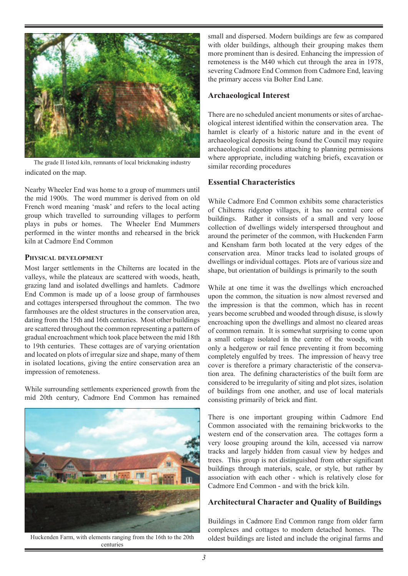

indicated on the map. The grade II listed kiln, remnants of local brickmaking industry

Nearby Wheeler End was home to a group of mummers until the mid 1900s. The word mummer is derived from on old French word meaning 'mask' and refers to the local acting group which travelled to surrounding villages to perform plays in pubs or homes. The Wheeler End Mummers performed in the winter months and rehearsed in the brick kiln at Cadmore End Common

## **PHYSICAL DEVELOPMENT**

Most larger settlements in the Chilterns are located in the valleys, while the plateaux are scattered with woods, heath, grazing land and isolated dwellings and hamlets. Cadmore End Common is made up of a loose group of farmhouses and cottages interspersed throughout the common. The two farmhouses are the oldest structures in the conservation area, dating from the 15th and 16th centuries. Most other buildings are scattered throughout the common representing a pattern of gradual encroachment which took place between the mid 18th to 19th centuries. These cottages are of varying orientation and located on plots of irregular size and shape, many of them in isolated locations, giving the entire conservation area an impression of remoteness.

While surrounding settlements experienced growth from the mid 20th century, Cadmore End Common has remained



Huckenden Farm, with elements ranging from the 16th to the 20th centuries

small and dispersed. Modern buildings are few as compared with older buildings, although their grouping makes them more prominent than is desired. Enhancing the impression of remoteness is the M40 which cut through the area in 1978, severing Cadmore End Common from Cadmore End, leaving the primary access via Bolter End Lane.

## **Archaeological Interest**

There are no scheduled ancient monuments or sites of archaeological interest identified within the conservation area. The hamlet is clearly of a historic nature and in the event of archaeological deposits being found the Council may require archaeological conditions attaching to planning permissions where appropriate, including watching briefs, excavation or similar recording procedures

# **Essential Characteristics**

While Cadmore End Common exhibits some characteristics of Chilterns ridgetop villages, it has no central core of buildings. Rather it consists of a small and very loose collection of dwellings widely interspersed throughout and around the perimeter of the common, with Huckenden Farm and Kensham farm both located at the very edges of the conservation area. Minor tracks lead to isolated groups of dwellings or individual cottages. Plots are of various size and shape, but orientation of buildings is primarily to the south

While at one time it was the dwellings which encroached upon the common, the situation is now almost reversed and the impression is that the common, which has in recent years become scrubbed and wooded through disuse, is slowly encroaching upon the dwellings and almost no cleared areas of common remain. It is somewhat surprising to come upon a small cottage isolated in the centre of the woods, with only a hedgerow or rail fence preventing it from becoming completely engulfed by trees. The impression of heavy tree cover is therefore a primary characteristic of the conservation area. The defining characteristics of the built form are considered to be irregularity of siting and plot sizes, isolation of buildings from one another, and use of local materials consisting primarily of brick and flint.

There is one important grouping within Cadmore End Common associated with the remaining brickworks to the western end of the conservation area. The cottages form a very loose grouping around the kiln, accessed via narrow tracks and largely hidden from casual view by hedges and trees. This group is not distinguished from other significant buildings through materials, scale, or style, but rather by association with each other - which is relatively close for Cadmore End Common - and with the brick kiln.

# **Architectural Character and Quality of Buildings**

Buildings in Cadmore End Common range from older farm complexes and cottages to modern detached homes. The oldest buildings are listed and include the original farms and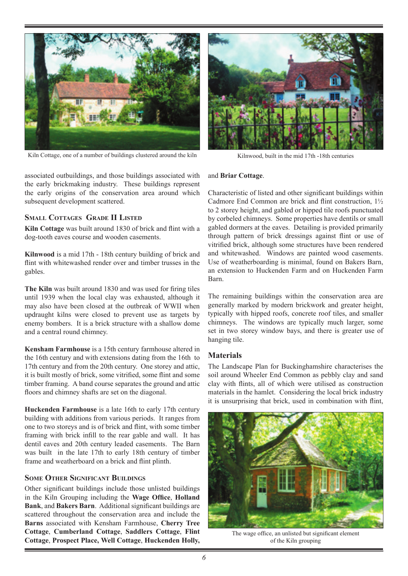

Kiln Cottage, one of a number of buildings clustered around the kiln Kilnwood, built in the mid 17th -18th centuries

associated outbuildings, and those buildings associated with the early brickmaking industry. These buildings represent the early origins of the conservation area around which subsequent development scattered.

## **SMALL COTTAGES GRADE II LISTED**

**Kiln Cottage** was built around 1830 of brick and flint with a dog-tooth eaves course and wooden casements.

**Kilnwood** is a mid 17th - 18th century building of brick and flint with whitewashed render over and timber trusses in the gables.

**The Kiln** was built around 1830 and was used for firing tiles until 1939 when the local clay was exhausted, although it may also have been closed at the outbreak of WWII when updraught kilns were closed to prevent use as targets by enemy bombers. It is a brick structure with a shallow dome and a central round chimney.

**Kensham Farmhouse** is a 15th century farmhouse altered in the 16th century and with extensions dating from the 16th to 17th century and from the 20th century. One storey and attic, it is built mostly of brick, some vitrified, some flint and some timber framing. A band course separates the ground and attic floors and chimney shafts are set on the diagonal.

**Huckenden Farmhouse** is a late 16th to early 17th century building with additions from various periods. It ranges from one to two storeys and is of brick and flint, with some timber framing with brick infill to the rear gable and wall. It has dentil eaves and 20th century leaded casements. The Barn was built in the late 17th to early 18th century of timber frame and weatherboard on a brick and flint plinth.

#### **SOME OTHER SIGNIFICANT BUILDINGS**

Other significant buildings include those unlisted buildings in the Kiln Grouping including the **Wage Office**, **Holland Bank**, and **Bakers Barn**. Additional significant buildings are scattered throughout the conservation area and include the **Barns** associated with Kensham Farmhouse, **Cherry Tree Cottage**, **Cumberland Cottage**, **Saddlers Cottage**, **Flint Cottage**, **Prospect Place, Well Cottage**, **Huckenden Holly,**



#### and **Briar Cottage**.

Characteristic of listed and other significant buildings within Cadmore End Common are brick and flint construction, 1½ to 2 storey height, and gabled or hipped tile roofs punctuated by corbeled chimneys. Some properties have dentils or small gabled dormers at the eaves. Detailing is provided primarily through pattern of brick dressings against flint or use of vitrified brick, although some structures have been rendered and whitewashed. Windows are painted wood casements. Use of weatherboarding is minimal, found on Bakers Barn, an extension to Huckenden Farm and on Huckenden Farm Barn.

The remaining buildings within the conservation area are generally marked by modern brickwork and greater height, typically with hipped roofs, concrete roof tiles, and smaller chimneys. The windows are typically much larger, some set in two storey window bays, and there is greater use of hanging tile.

#### **Materials**

The Landscape Plan for Buckinghamshire characterises the soil around Wheeler End Common as pebbly clay and sand clay with flints, all of which were utilised as construction materials in the hamlet. Considering the local brick industry it is unsurprising that brick, used in combination with flint,



The wage office, an unlisted but significant element of the Kiln grouping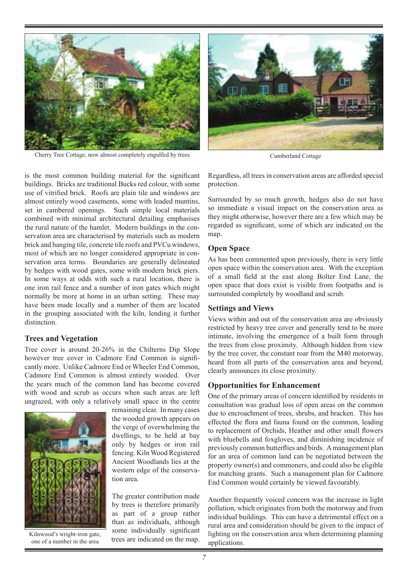

Cherry Tree Cottage, now almost completely engulfed by trees Cumberland Cottage



is the most common building material for the significant buildings. Bricks are traditional Bucks red colour, with some use of vitrified brick. Roofs are plain tile and windows are almost entirely wood casements, some with leaded muntins, set in cambered openings. Such simple local materials combined with minimal architectural detailing emphasises the rural nature of the hamlet. Modern buildings in the conservation area are characterised by materials such as modern brick and hanging tile, concrete tile roofs and PVCu windows, most of which are no longer considered appropriate in conservation area terms. Boundaries are generally delineated by hedges with wood gates, some with modern brick piers. In some ways at odds with such a rural location, there is one iron rail fence and a number of iron gates which might normally be more at home in an urban setting. These may have been made locally and a number of them are located in the grouping associated with the kiln, lending it further distinction.

#### **Trees and Vegetation**

Tree cover is around 20-26% in the Chilterns Dip Slope however tree cover in Cadmore End Common is significantly more. Unlike Cadmore End or Wheeler End Common, Cadmore End Common is almost entirely wooded. Over the years much of the common land has become covered with wood and scrub as occurs when such areas are left ungrazed, with only a relatively small space in the centre



Kilnwood's wright-iron gate, one of a number in the area

remaining clear. In many cases the wooded growth appears on the verge of overwhelming the dwellings, to be held at bay only by hedges or iron rail fencing. Kiln Wood Registered Ancient Woodlands lies at the western edge of the conservation area.

The greater contribution made by trees is therefore primarily as part of a group rather than as individuals, although some individually significant trees are indicated on the map.

Regardless, all trees in conservation areas are afforded special protection.

Surrounded by so much growth, hedges also do not have so immediate a visual impact on the conservation area as they might otherwise, however there are a few which may be regarded as significant, some of which are indicated on the map.

#### **Open Space**

As has been commented upon previously, there is very little open space within the conservation area. With the exception of a small field at the east along Bolter End Lane, the open space that does exist is visible from footpaths and is surrounded completely by woodland and scrub.

#### **Settings and Views**

Views within and out of the conservation area are obviously restricted by heavy tree cover and generally tend to be more intimate, involving the emergence of a built form through the trees from close proximity. Although hidden from view by the tree cover, the constant roar from the M40 motorway, heard from all parts of the conservation area and beyond, clearly announces its close proximity.

### **Opportunities for Enhancement**

One of the primary areas of concern identified by residents in consultation was gradual loss of open areas on the common due to encroachment of trees, shrubs, and bracken. This has effected the flora and fauna found on the common, leading to replacement of Orchids, Heather and other small flowers with bluebells and foxgloves, and diminishing incidence of previously common butterflies and birds. A management plan for an area of common land can be negotiated between the property owner(s) and commoners, and could also be eligible for matching grants. Such a management plan for Cadmore End Common would certainly be viewed favourably.

Another frequently voiced concern was the increase in light pollution, which originates from both the motorway and from individual buildings. This can have a detrimental effect on a rural area and consideration should be given to the impact of lighting on the conservation area when determining planning applications.